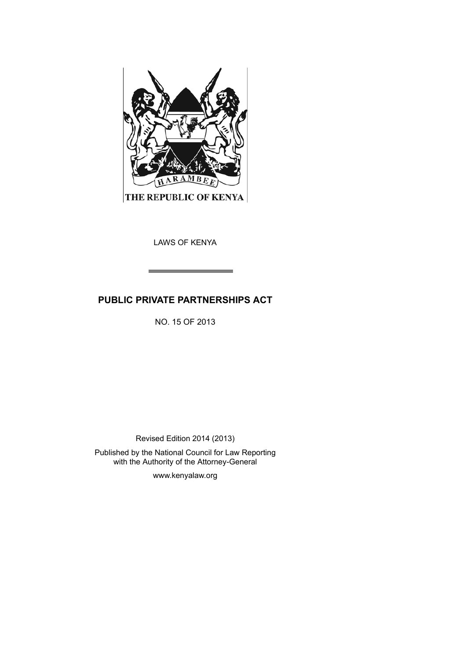

LAWS OF KENYA

# **PUBLIC PRIVATE PARTNERSHIPS ACT**

NO. 15 OF 2013

Revised Edition 2014 (2013)

Published by the National Council for Law Reporting with the Authority of the Attorney-General

www.kenyalaw.org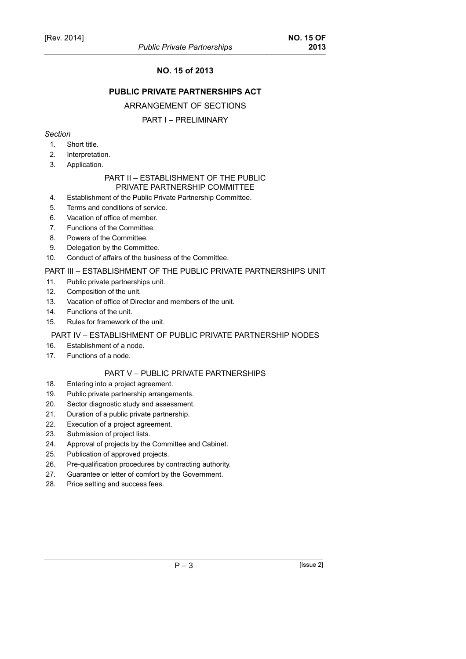# **NO. 15 of 2013**

# **PUBLIC PRIVATE PARTNERSHIPS ACT**

#### ARRANGEMENT OF SECTIONS

# PART I – PRELIMINARY

#### *Section*

- 1. Short title.
- 2. Interpretation.
- 3. Application.

### PART II – ESTABLISHMENT OF THE PUBLIC PRIVATE PARTNERSHIP COMMITTEE

- 4. Establishment of the Public Private Partnership Committee.
- 5. Terms and conditions of service.
- 6. Vacation of office of member.
- 7. Functions of the Committee.
- 8. Powers of the Committee.
- 9. Delegation by the Committee.
- 10. Conduct of affairs of the business of the Committee.

#### PART III – ESTABLISHMENT OF THE PUBLIC PRIVATE PARTNERSHIPS UNIT

- 11. Public private partnerships unit.
- 12. Composition of the unit.
- 13. Vacation of office of Director and members of the unit.
- 14. Functions of the unit.
- 15. Rules for framework of the unit.

# PART IV – ESTABLISHMENT OF PUBLIC PRIVATE PARTNERSHIP NODES

- 16. Establishment of a node.
- 17. Functions of a node.

# PART V – PUBLIC PRIVATE PARTNERSHIPS

- 18. Entering into a project agreement.
- 19. Public private partnership arrangements.
- 20. Sector diagnostic study and assessment.
- 21. Duration of a public private partnership.
- 22. Execution of a project agreement.
- 23. Submission of project lists.
- 24. Approval of projects by the Committee and Cabinet.
- 25. Publication of approved projects.
- 26. Pre-qualification procedures by contracting authority.
- 27. Guarantee or letter of comfort by the Government.
- 28. Price setting and success fees.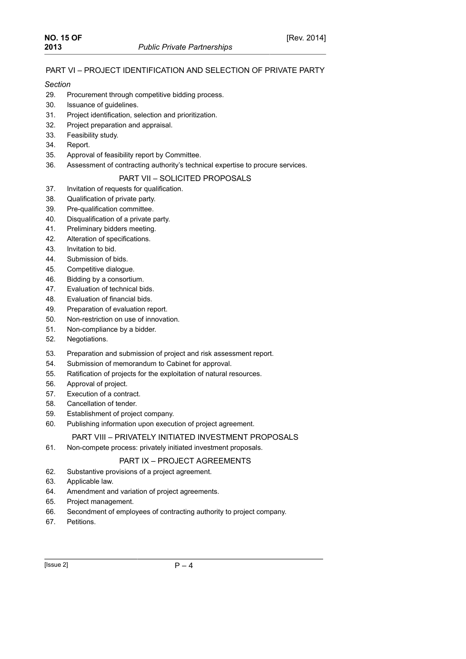# PART VI – PROJECT IDENTIFICATION AND SELECTION OF PRIVATE PARTY

#### *Section*

- 29. Procurement through competitive bidding process.
- 30. Issuance of guidelines.
- 31. Project identification, selection and prioritization.
- 32. Project preparation and appraisal.
- 33. Feasibility study.
- 34. Report.
- 35. Approval of feasibility report by Committee.
- 36. Assessment of contracting authority's technical expertise to procure services.

#### PART VII – SOLICITED PROPOSALS

- 37. Invitation of requests for qualification.
- 38. Qualification of private party.
- 39. Pre-qualification committee.
- 40. Disqualification of a private party.
- 41. Preliminary bidders meeting.
- 42. Alteration of specifications.
- 43. Invitation to bid.
- 44. Submission of bids.
- 45. Competitive dialogue.
- 46. Bidding by a consortium.
- 47. Evaluation of technical bids.
- 48. Evaluation of financial bids.
- 49. Preparation of evaluation report.
- 50. Non-restriction on use of innovation.
- 51. Non-compliance by a bidder.
- 52. Negotiations.
- 53. Preparation and submission of project and risk assessment report.
- 54. Submission of memorandum to Cabinet for approval.
- 55. Ratification of projects for the exploitation of natural resources.
- 56. Approval of project.
- 57. Execution of a contract.
- 58. Cancellation of tender.
- 59. Establishment of project company.
- 60. Publishing information upon execution of project agreement.

#### PART VIII – PRIVATELY INITIATED INVESTMENT PROPOSALS

61. Non-compete process: privately initiated investment proposals.

#### PART IX – PROJECT AGREEMENTS

- 62. Substantive provisions of a project agreement.
- 63. Applicable law.
- 64. Amendment and variation of project agreements.
- 65. Project management.
- 66. Secondment of employees of contracting authority to project company.
- 67. Petitions.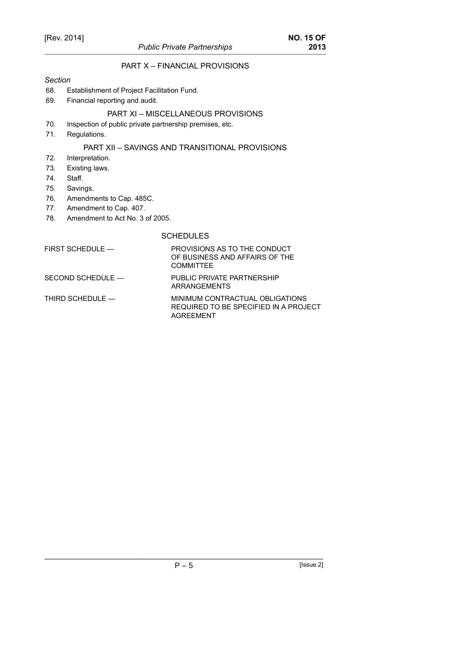# PART X – FINANCIAL PROVISIONS

#### *Section*

- 68. Establishment of Project Facilitation Fund.
- 69. Financial reporting and audit.

#### PART XI – MISCELLANEOUS PROVISIONS

- 70. Inspection of public private partnership premises, etc.
- 71. Regulations.

# PART XII – SAVINGS AND TRANSITIONAL PROVISIONS

- 72. Interpretation.
- 73. Existing laws.
- 74. Staff.
- 75. Savings.
- 76. Amendments to Cap. 485C.
- 77. Amendment to Cap. 407.
- 78. Amendment to Act No. 3 of 2005.

# **SCHEDULES**

| $FIRST$ SCHEDULE $-$ | PROVISIONS AS TO THE CONDUCT<br>OF BUSINESS AND AFFAIRS OF THE<br><b>COMMITTEE</b>           |
|----------------------|----------------------------------------------------------------------------------------------|
| SECOND SCHEDULE —    | PUBLIC PRIVATE PARTNERSHIP<br>ARRANGEMENTS                                                   |
| THIRD SCHEDULE —     | MINIMUM CONTRACTUAL OBLIGATIONS<br>REQUIRED TO BE SPECIFIED IN A PROJECT<br><b>AGREEMENT</b> |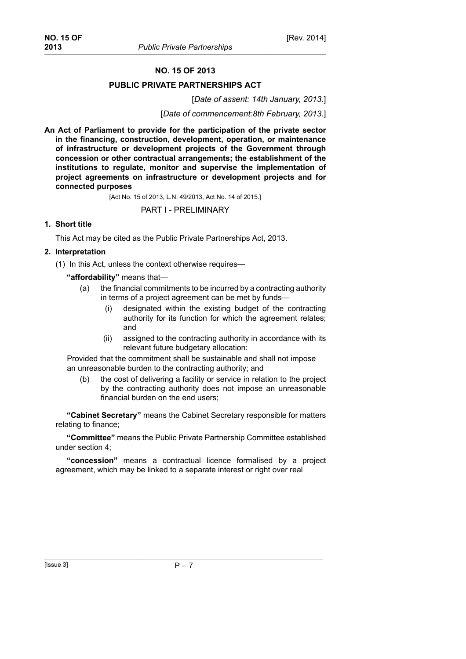# **NO. 15 OF 2013**

### **PUBLIC PRIVATE PARTNERSHIPS ACT**

[*Date of assent: 14th January, 2013*.]

[*Date of commencement:8th February, 2013*.]

**An Act of Parliament to provide for the participation of the private sector in the financing, construction, development, operation, or maintenance of infrastructure or development projects of the Government through concession or other contractual arrangements; the establishment of the institutions to regulate, monitor and supervise the implementation of project agreements on infrastructure or development projects and for connected purposes**

[Act No. 15 of 2013, L.N. 49/2013, Act No. 14 of 2015.]

#### PART I - PRELIMINARY

#### **1. Short title**

This Act may be cited as the Public Private Partnerships Act, 2013.

#### **2. Interpretation**

(1) In this Act, unless the context otherwise requires—

**"affordability"** means that—

- (a) the financial commitments to be incurred by a contracting authority in terms of a project agreement can be met by funds—
	- (i) designated within the existing budget of the contracting authority for its function for which the agreement relates; and
	- (ii) assigned to the contracting authority in accordance with its relevant future budgetary allocation:

Provided that the commitment shall be sustainable and shall not impose an unreasonable burden to the contracting authority; and

(b) the cost of delivering a facility or service in relation to the project by the contracting authority does not impose an unreasonable financial burden on the end users;

**"Cabinet Secretary"** means the Cabinet Secretary responsible for matters relating to finance;

**"Committee"** means the Public Private Partnership Committee established under section 4;

**"concession"** means a contractual licence formalised by a project agreement, which may be linked to a separate interest or right over real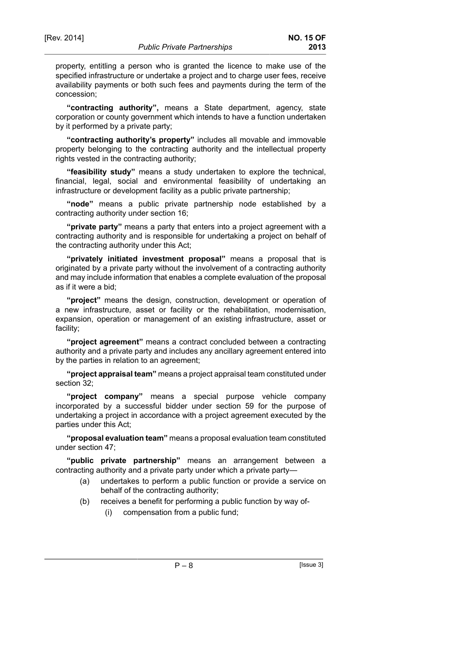property, entitling a person who is granted the licence to make use of the specified infrastructure or undertake a project and to charge user fees, receive availability payments or both such fees and payments during the term of the concession;

**"contracting authority",** means a State department, agency, state corporation or county government which intends to have a function undertaken by it performed by a private party;

**"contracting authority's property"** includes all movable and immovable property belonging to the contracting authority and the intellectual property rights vested in the contracting authority;

**"feasibility study"** means a study undertaken to explore the technical, financial, legal, social and environmental feasibility of undertaking an infrastructure or development facility as a public private partnership;

**"node"** means a public private partnership node established by a contracting authority under section 16;

**"private party"** means a party that enters into a project agreement with a contracting authority and is responsible for undertaking a project on behalf of the contracting authority under this Act;

**"privately initiated investment proposal"** means a proposal that is originated by a private party without the involvement of a contracting authority and may include information that enables a complete evaluation of the proposal as if it were a bid;

**"project"** means the design, construction, development or operation of a new infrastructure, asset or facility or the rehabilitation, modernisation, expansion, operation or management of an existing infrastructure, asset or facility;

**"project agreement"** means a contract concluded between a contracting authority and a private party and includes any ancillary agreement entered into by the parties in relation to an agreement;

**"project appraisal team"** means a project appraisal team constituted under section 32;

**"project company"** means a special purpose vehicle company incorporated by a successful bidder under section 59 for the purpose of undertaking a project in accordance with a project agreement executed by the parties under this Act;

**"proposal evaluation team"** means a proposal evaluation team constituted under section 47;

**"public private partnership"** means an arrangement between a contracting authority and a private party under which a private party—

- (a) undertakes to perform a public function or provide a service on behalf of the contracting authority;
- (b) receives a benefit for performing a public function by way of-
	- (i) compensation from a public fund;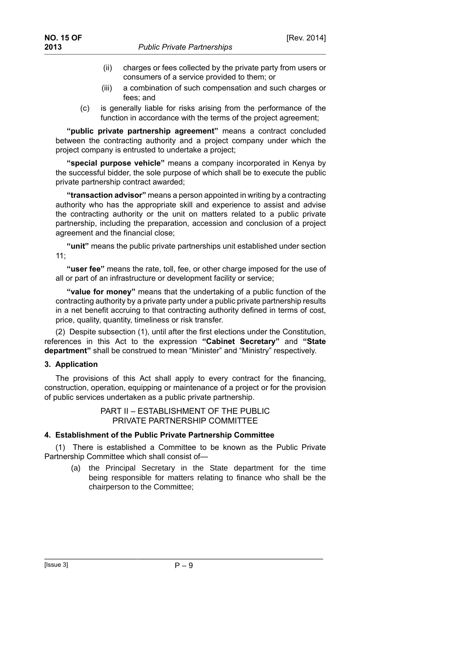- (ii) charges or fees collected by the private party from users or consumers of a service provided to them; or
- (iii) a combination of such compensation and such charges or fees; and
- (c) is generally liable for risks arising from the performance of the function in accordance with the terms of the project agreement;

**"public private partnership agreement"** means a contract concluded between the contracting authority and a project company under which the project company is entrusted to undertake a project;

**"special purpose vehicle"** means a company incorporated in Kenya by the successful bidder, the sole purpose of which shall be to execute the public private partnership contract awarded;

**"transaction advisor"** means a person appointed in writing by a contracting authority who has the appropriate skill and experience to assist and advise the contracting authority or the unit on matters related to a public private partnership, including the preparation, accession and conclusion of a project agreement and the financial close;

**"unit"** means the public private partnerships unit established under section 11;

**"user fee"** means the rate, toll, fee, or other charge imposed for the use of all or part of an infrastructure or development facility or service;

**"value for money"** means that the undertaking of a public function of the contracting authority by a private party under a public private partnership results in a net benefit accruing to that contracting authority defined in terms of cost, price, quality, quantity, timeliness or risk transfer.

(2) Despite subsection (1), until after the first elections under the Constitution, references in this Act to the expression **"Cabinet Secretary"** and **"State department"** shall be construed to mean "Minister" and "Ministry" respectively.

#### **3. Application**

The provisions of this Act shall apply to every contract for the financing, construction, operation, equipping or maintenance of a project or for the provision of public services undertaken as a public private partnership.

> PART II – ESTABLISHMENT OF THE PUBLIC PRIVATE PARTNERSHIP COMMITTEE

### **4. Establishment of the Public Private Partnership Committee**

(1) There is established a Committee to be known as the Public Private Partnership Committee which shall consist of—

(a) the Principal Secretary in the State department for the time being responsible for matters relating to finance who shall be the chairperson to the Committee;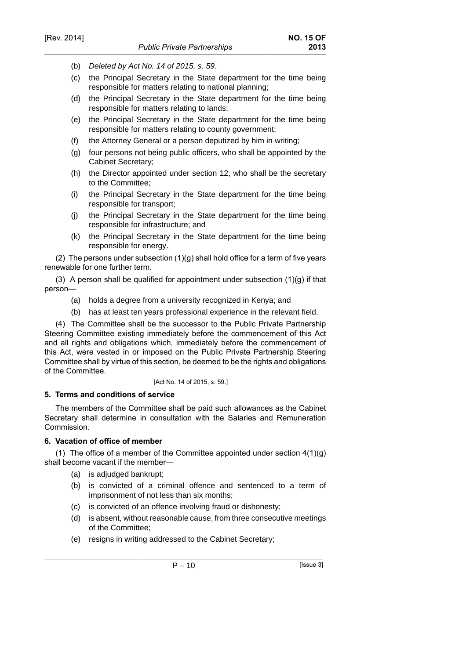- (b) Deleted by Act No. 14 of 2015, s. 59.
- (c) the Principal Secretary in the State department for the time being responsible for matters relating to national planning;
- (d) the Principal Secretary in the State department for the time being responsible for matters relating to lands;
- (e) the Principal Secretary in the State department for the time being responsible for matters relating to county government;
- (f) the Attorney General or a person deputized by him in writing;
- (g) four persons not being public officers, who shall be appointed by the Cabinet Secretary;
- (h) the Director appointed under section 12, who shall be the secretary to the Committee;
- (i) the Principal Secretary in the State department for the time being responsible for transport;
- (j) the Principal Secretary in the State department for the time being responsible for infrastructure; and
- (k) the Principal Secretary in the State department for the time being responsible for energy.

(2) The persons under subsection  $(1)(g)$  shall hold office for a term of five years renewable for one further term.

(3) A person shall be qualified for appointment under subsection  $(1)(q)$  if that person—

- (a) holds a degree from a university recognized in Kenya; and
- (b) has at least ten years professional experience in the relevant field.

(4) The Committee shall be the successor to the Public Private Partnership Steering Committee existing immediately before the commencement of this Act and all rights and obligations which, immediately before the commencement of this Act, were vested in or imposed on the Public Private Partnership Steering Committee shall by virtue of this section, be deemed to be the rights and obligations of the Committee.

#### [Act No. 14 of 2015, s. 59.]

# **5. Terms and conditions of service**

The members of the Committee shall be paid such allowances as the Cabinet Secretary shall determine in consultation with the Salaries and Remuneration Commission.

# **6. Vacation of office of member**

(1) The office of a member of the Committee appointed under section 4(1)(g) shall become vacant if the member—

- (a) is adjudged bankrupt;
- (b) is convicted of a criminal offence and sentenced to a term of imprisonment of not less than six months;
- (c) is convicted of an offence involving fraud or dishonesty;
- (d) is absent, without reasonable cause, from three consecutive meetings of the Committee;
- (e) resigns in writing addressed to the Cabinet Secretary;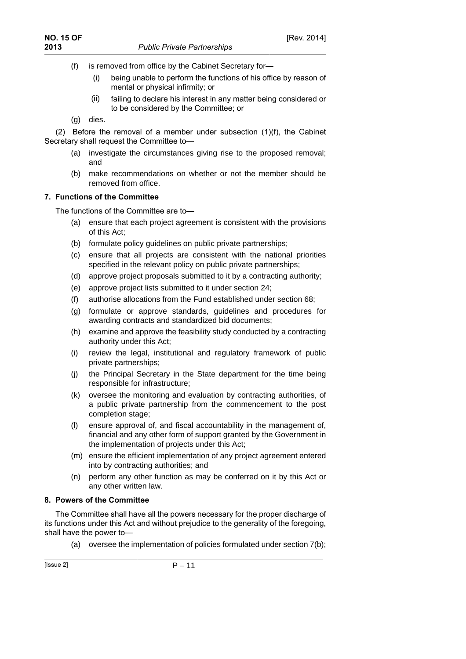- (f) is removed from office by the Cabinet Secretary for—
	- (i) being unable to perform the functions of his office by reason of mental or physical infirmity; or
	- (ii) failing to declare his interest in any matter being considered or to be considered by the Committee; or
- (g) dies.

(2) Before the removal of a member under subsection (1)(f), the Cabinet Secretary shall request the Committee to—

- (a) investigate the circumstances giving rise to the proposed removal; and
- (b) make recommendations on whether or not the member should be removed from office.

# **7. Functions of the Committee**

The functions of the Committee are to—

- (a) ensure that each project agreement is consistent with the provisions of this Act;
- (b) formulate policy guidelines on public private partnerships;
- (c) ensure that all projects are consistent with the national priorities specified in the relevant policy on public private partnerships;
- (d) approve project proposals submitted to it by a contracting authority;
- (e) approve project lists submitted to it under section 24;
- (f) authorise allocations from the Fund established under section 68;
- (g) formulate or approve standards, guidelines and procedures for awarding contracts and standardized bid documents;
- (h) examine and approve the feasibility study conducted by a contracting authority under this Act;
- (i) review the legal, institutional and regulatory framework of public private partnerships;
- (j) the Principal Secretary in the State department for the time being responsible for infrastructure;
- (k) oversee the monitoring and evaluation by contracting authorities, of a public private partnership from the commencement to the post completion stage;
- (l) ensure approval of, and fiscal accountability in the management of, financial and any other form of support granted by the Government in the implementation of projects under this Act;
- (m) ensure the efficient implementation of any project agreement entered into by contracting authorities; and
- (n) perform any other function as may be conferred on it by this Act or any other written law.

# **8. Powers of the Committee**

The Committee shall have all the powers necessary for the proper discharge of its functions under this Act and without prejudice to the generality of the foregoing, shall have the power to—

(a) oversee the implementation of policies formulated under section 7(b);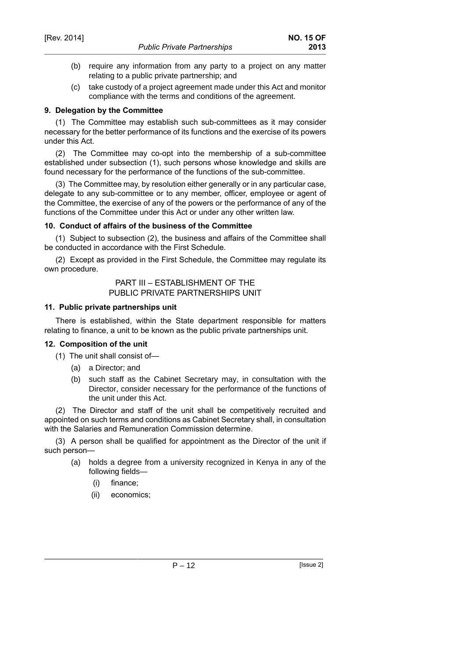- (b) require any information from any party to a project on any matter relating to a public private partnership; and
- (c) take custody of a project agreement made under this Act and monitor compliance with the terms and conditions of the agreement.

### **9. Delegation by the Committee**

(1) The Committee may establish such sub-committees as it may consider necessary for the better performance of its functions and the exercise of its powers under this Act.

(2) The Committee may co-opt into the membership of a sub-committee established under subsection (1), such persons whose knowledge and skills are found necessary for the performance of the functions of the sub-committee.

(3) The Committee may, by resolution either generally or in any particular case, delegate to any sub-committee or to any member, officer, employee or agent of the Committee, the exercise of any of the powers or the performance of any of the functions of the Committee under this Act or under any other written law.

# **10. Conduct of affairs of the business of the Committee**

(1) Subject to subsection (2), the business and affairs of the Committee shall be conducted in accordance with the First Schedule.

(2) Except as provided in the First Schedule, the Committee may regulate its own procedure.

> PART III – ESTABLISHMENT OF THE PUBLIC PRIVATE PARTNERSHIPS UNIT

#### **11. Public private partnerships unit**

There is established, within the State department responsible for matters relating to finance, a unit to be known as the public private partnerships unit.

# **12. Composition of the unit**

- (1) The unit shall consist of—
	- (a) a Director; and
	- (b) such staff as the Cabinet Secretary may, in consultation with the Director, consider necessary for the performance of the functions of the unit under this Act.

(2) The Director and staff of the unit shall be competitively recruited and appointed on such terms and conditions as Cabinet Secretary shall, in consultation with the Salaries and Remuneration Commission determine.

(3) A person shall be qualified for appointment as the Director of the unit if such person—

- (a) holds a degree from a university recognized in Kenya in any of the following fields—
	- (i) finance;
	- (ii) economics;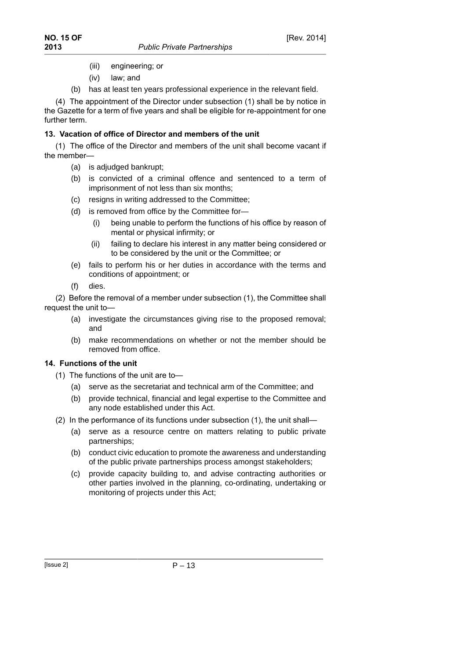- (iii) engineering; or
- (iv) law; and
- (b) has at least ten years professional experience in the relevant field.

(4) The appointment of the Director under subsection (1) shall be by notice in the Gazette for a term of five years and shall be eligible for re-appointment for one further term.

#### **13. Vacation of office of Director and members of the unit**

(1) The office of the Director and members of the unit shall become vacant if the member—

- (a) is adjudged bankrupt;
- (b) is convicted of a criminal offence and sentenced to a term of imprisonment of not less than six months;
- (c) resigns in writing addressed to the Committee;
- (d) is removed from office by the Committee for—
	- (i) being unable to perform the functions of his office by reason of mental or physical infirmity; or
	- (ii) failing to declare his interest in any matter being considered or to be considered by the unit or the Committee; or
- (e) fails to perform his or her duties in accordance with the terms and conditions of appointment; or
- (f) dies.

(2) Before the removal of a member under subsection (1), the Committee shall request the unit to—

- (a) investigate the circumstances giving rise to the proposed removal; and
- (b) make recommendations on whether or not the member should be removed from office.

# **14. Functions of the unit**

(1) The functions of the unit are to—

- (a) serve as the secretariat and technical arm of the Committee; and
- (b) provide technical, financial and legal expertise to the Committee and any node established under this Act.
- (2) In the performance of its functions under subsection (1), the unit shall—
	- (a) serve as a resource centre on matters relating to public private partnerships;
	- (b) conduct civic education to promote the awareness and understanding of the public private partnerships process amongst stakeholders;
	- (c) provide capacity building to, and advise contracting authorities or other parties involved in the planning, co-ordinating, undertaking or monitoring of projects under this Act;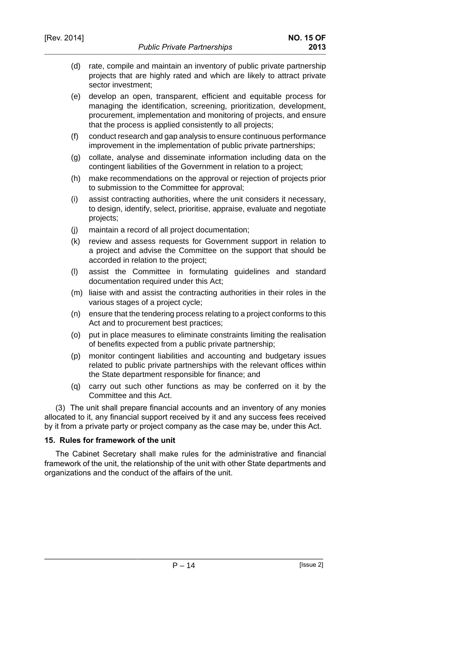- (d) rate, compile and maintain an inventory of public private partnership projects that are highly rated and which are likely to attract private sector investment;
- (e) develop an open, transparent, efficient and equitable process for managing the identification, screening, prioritization, development, procurement, implementation and monitoring of projects, and ensure that the process is applied consistently to all projects;
- (f) conduct research and gap analysis to ensure continuous performance improvement in the implementation of public private partnerships;
- (g) collate, analyse and disseminate information including data on the contingent liabilities of the Government in relation to a project;
- (h) make recommendations on the approval or rejection of projects prior to submission to the Committee for approval;
- (i) assist contracting authorities, where the unit considers it necessary, to design, identify, select, prioritise, appraise, evaluate and negotiate projects;
- (j) maintain a record of all project documentation;
- (k) review and assess requests for Government support in relation to a project and advise the Committee on the support that should be accorded in relation to the project;
- (l) assist the Committee in formulating guidelines and standard documentation required under this Act;
- (m) liaise with and assist the contracting authorities in their roles in the various stages of a project cycle;
- (n) ensure that the tendering process relating to a project conforms to this Act and to procurement best practices;
- (o) put in place measures to eliminate constraints limiting the realisation of benefits expected from a public private partnership;
- (p) monitor contingent liabilities and accounting and budgetary issues related to public private partnerships with the relevant offices within the State department responsible for finance; and
- (q) carry out such other functions as may be conferred on it by the Committee and this Act.

(3) The unit shall prepare financial accounts and an inventory of any monies allocated to it, any financial support received by it and any success fees received by it from a private party or project company as the case may be, under this Act.

# **15. Rules for framework of the unit**

The Cabinet Secretary shall make rules for the administrative and financial framework of the unit, the relationship of the unit with other State departments and organizations and the conduct of the affairs of the unit.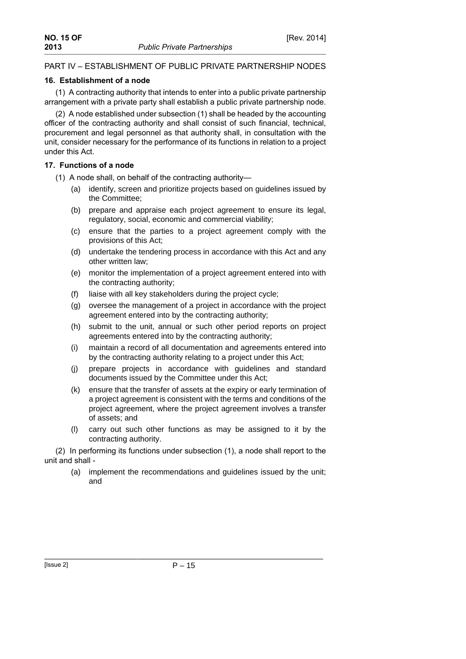# PART IV – ESTABLISHMENT OF PUBLIC PRIVATE PARTNERSHIP NODES

#### **16. Establishment of a node**

(1) A contracting authority that intends to enter into a public private partnership arrangement with a private party shall establish a public private partnership node.

(2) A node established under subsection (1) shall be headed by the accounting officer of the contracting authority and shall consist of such financial, technical, procurement and legal personnel as that authority shall, in consultation with the unit, consider necessary for the performance of its functions in relation to a project under this Act.

#### **17. Functions of a node**

- (1) A node shall, on behalf of the contracting authority—
	- (a) identify, screen and prioritize projects based on guidelines issued by the Committee;
	- (b) prepare and appraise each project agreement to ensure its legal, regulatory, social, economic and commercial viability;
	- (c) ensure that the parties to a project agreement comply with the provisions of this Act;
	- (d) undertake the tendering process in accordance with this Act and any other written law;
	- (e) monitor the implementation of a project agreement entered into with the contracting authority;
	- (f) liaise with all key stakeholders during the project cycle;
	- (g) oversee the management of a project in accordance with the project agreement entered into by the contracting authority;
	- (h) submit to the unit, annual or such other period reports on project agreements entered into by the contracting authority;
	- (i) maintain a record of all documentation and agreements entered into by the contracting authority relating to a project under this Act;
	- (j) prepare projects in accordance with guidelines and standard documents issued by the Committee under this Act;
	- (k) ensure that the transfer of assets at the expiry or early termination of a project agreement is consistent with the terms and conditions of the project agreement, where the project agreement involves a transfer of assets; and
	- (l) carry out such other functions as may be assigned to it by the contracting authority.

(2) In performing its functions under subsection (1), a node shall report to the unit and shall -

(a) implement the recommendations and guidelines issued by the unit; and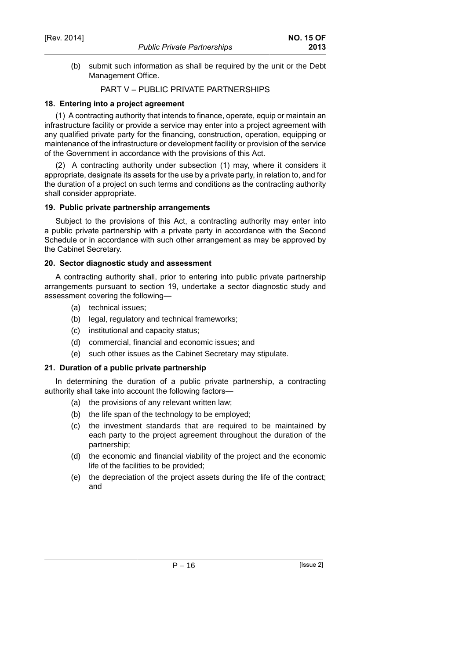(b) submit such information as shall be required by the unit or the Debt Management Office.

# PART V – PUBLIC PRIVATE PARTNERSHIPS

# **18. Entering into a project agreement**

(1) A contracting authority that intends to finance, operate, equip or maintain an infrastructure facility or provide a service may enter into a project agreement with any qualified private party for the financing, construction, operation, equipping or maintenance of the infrastructure or development facility or provision of the service of the Government in accordance with the provisions of this Act.

(2) A contracting authority under subsection (1) may, where it considers it appropriate, designate its assets for the use by a private party, in relation to, and for the duration of a project on such terms and conditions as the contracting authority shall consider appropriate.

# **19. Public private partnership arrangements**

Subject to the provisions of this Act, a contracting authority may enter into a public private partnership with a private party in accordance with the Second Schedule or in accordance with such other arrangement as may be approved by the Cabinet Secretary.

# **20. Sector diagnostic study and assessment**

A contracting authority shall, prior to entering into public private partnership arrangements pursuant to section 19, undertake a sector diagnostic study and assessment covering the following—

- (a) technical issues;
- (b) legal, regulatory and technical frameworks;
- (c) institutional and capacity status;
- (d) commercial, financial and economic issues; and
- (e) such other issues as the Cabinet Secretary may stipulate.

# **21. Duration of a public private partnership**

In determining the duration of a public private partnership, a contracting authority shall take into account the following factors—

- (a) the provisions of any relevant written law;
- (b) the life span of the technology to be employed;
- (c) the investment standards that are required to be maintained by each party to the project agreement throughout the duration of the partnership;
- (d) the economic and financial viability of the project and the economic life of the facilities to be provided;
- (e) the depreciation of the project assets during the life of the contract; and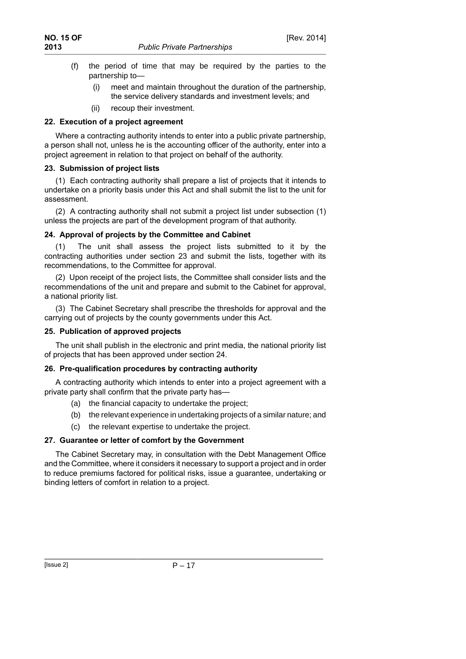- (f) the period of time that may be required by the parties to the partnership to—
	- (i) meet and maintain throughout the duration of the partnership, the service delivery standards and investment levels; and
	- (ii) recoup their investment.

# **22. Execution of a project agreement**

Where a contracting authority intends to enter into a public private partnership, a person shall not, unless he is the accounting officer of the authority, enter into a project agreement in relation to that project on behalf of the authority.

# **23. Submission of project lists**

(1) Each contracting authority shall prepare a list of projects that it intends to undertake on a priority basis under this Act and shall submit the list to the unit for assessment.

(2) A contracting authority shall not submit a project list under subsection (1) unless the projects are part of the development program of that authority.

# **24. Approval of projects by the Committee and Cabinet**

(1) The unit shall assess the project lists submitted to it by the contracting authorities under section 23 and submit the lists, together with its recommendations, to the Committee for approval.

(2) Upon receipt of the project lists, the Committee shall consider lists and the recommendations of the unit and prepare and submit to the Cabinet for approval, a national priority list.

(3) The Cabinet Secretary shall prescribe the thresholds for approval and the carrying out of projects by the county governments under this Act.

# **25. Publication of approved projects**

The unit shall publish in the electronic and print media, the national priority list of projects that has been approved under section 24.

# **26. Pre-qualification procedures by contracting authority**

A contracting authority which intends to enter into a project agreement with a private party shall confirm that the private party has—

- (a) the financial capacity to undertake the project;
- (b) the relevant experience in undertaking projects of a similar nature; and
- (c) the relevant expertise to undertake the project.

# **27. Guarantee or letter of comfort by the Government**

The Cabinet Secretary may, in consultation with the Debt Management Office and the Committee, where it considers it necessary to support a project and in order to reduce premiums factored for political risks, issue a guarantee, undertaking or binding letters of comfort in relation to a project.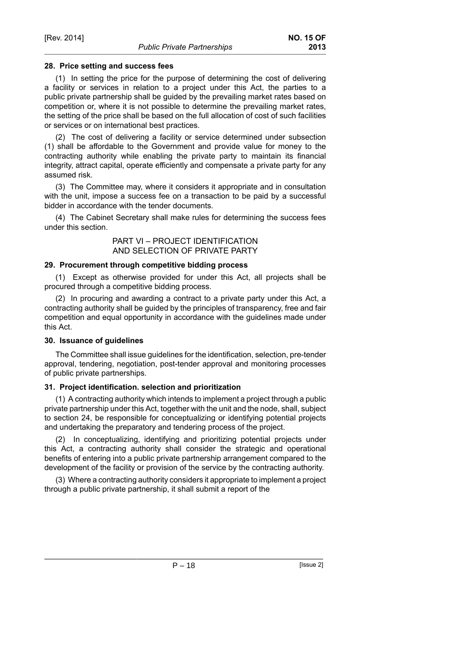#### **28. Price setting and success fees**

(1) In setting the price for the purpose of determining the cost of delivering a facility or services in relation to a project under this Act, the parties to a public private partnership shall be guided by the prevailing market rates based on competition or, where it is not possible to determine the prevailing market rates, the setting of the price shall be based on the full allocation of cost of such facilities or services or on international best practices.

(2) The cost of delivering a facility or service determined under subsection (1) shall be affordable to the Government and provide value for money to the contracting authority while enabling the private party to maintain its financial integrity, attract capital, operate efficiently and compensate a private party for any assumed risk.

(3) The Committee may, where it considers it appropriate and in consultation with the unit, impose a success fee on a transaction to be paid by a successful bidder in accordance with the tender documents.

(4) The Cabinet Secretary shall make rules for determining the success fees under this section.

> PART VI – PROJECT IDENTIFICATION AND SELECTION OF PRIVATE PARTY

# **29. Procurement through competitive bidding process**

(1) Except as otherwise provided for under this Act, all projects shall be procured through a competitive bidding process.

(2) In procuring and awarding a contract to a private party under this Act, a contracting authority shall be guided by the principles of transparency, free and fair competition and equal opportunity in accordance with the guidelines made under this Act.

# **30. Issuance of guidelines**

The Committee shall issue guidelines for the identification, selection, pre-tender approval, tendering, negotiation, post-tender approval and monitoring processes of public private partnerships.

# **31. Project identification. selection and prioritization**

(1) A contracting authority which intends to implement a project through a public private partnership under this Act, together with the unit and the node, shall, subject to section 24, be responsible for conceptualizing or identifying potential projects and undertaking the preparatory and tendering process of the project.

(2) In conceptualizing, identifying and prioritizing potential projects under this Act, a contracting authority shall consider the strategic and operational benefits of entering into a public private partnership arrangement compared to the development of the facility or provision of the service by the contracting authority.

(3) Where a contracting authority considers it appropriate to implement a project through a public private partnership, it shall submit a report of the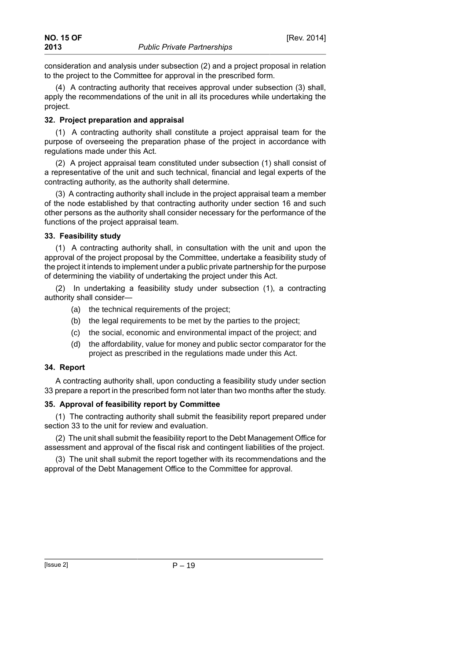consideration and analysis under subsection (2) and a project proposal in relation to the project to the Committee for approval in the prescribed form.

(4) A contracting authority that receives approval under subsection (3) shall, apply the recommendations of the unit in all its procedures while undertaking the project.

# **32. Project preparation and appraisal**

(1) A contracting authority shall constitute a project appraisal team for the purpose of overseeing the preparation phase of the project in accordance with regulations made under this Act.

(2) A project appraisal team constituted under subsection (1) shall consist of a representative of the unit and such technical, financial and legal experts of the contracting authority, as the authority shall determine.

(3) A contracting authority shall include in the project appraisal team a member of the node established by that contracting authority under section 16 and such other persons as the authority shall consider necessary for the performance of the functions of the project appraisal team.

# **33. Feasibility study**

(1) A contracting authority shall, in consultation with the unit and upon the approval of the project proposal by the Committee, undertake a feasibility study of the project it intends to implement under a public private partnership for the purpose of determining the viability of undertaking the project under this Act.

(2) In undertaking a feasibility study under subsection (1), a contracting authority shall consider—

- (a) the technical requirements of the project;
- (b) the legal requirements to be met by the parties to the project;
- (c) the social, economic and environmental impact of the project; and
- (d) the affordability, value for money and public sector comparator for the project as prescribed in the regulations made under this Act.

# **34. Report**

A contracting authority shall, upon conducting a feasibility study under section 33 prepare a report in the prescribed form not later than two months after the study.

# **35. Approval of feasibility report by Committee**

(1) The contracting authority shall submit the feasibility report prepared under section 33 to the unit for review and evaluation.

(2) The unit shall submit the feasibility report to the Debt Management Office for assessment and approval of the fiscal risk and contingent liabilities of the project.

(3) The unit shall submit the report together with its recommendations and the approval of the Debt Management Office to the Committee for approval.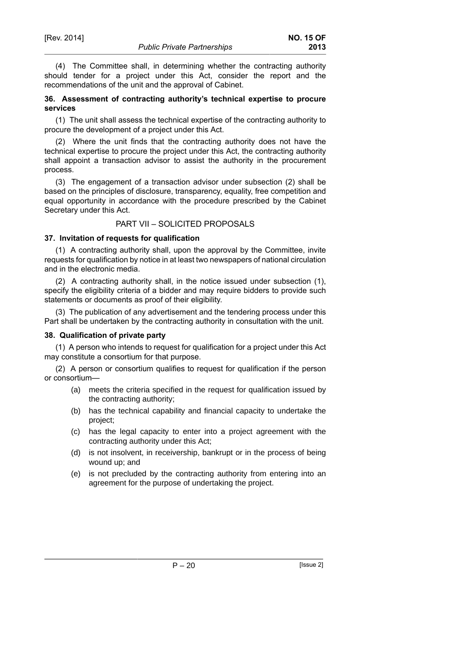(4) The Committee shall, in determining whether the contracting authority should tender for a project under this Act, consider the report and the recommendations of the unit and the approval of Cabinet.

### **36. Assessment of contracting authority's technical expertise to procure services**

(1) The unit shall assess the technical expertise of the contracting authority to procure the development of a project under this Act.

(2) Where the unit finds that the contracting authority does not have the technical expertise to procure the project under this Act, the contracting authority shall appoint a transaction advisor to assist the authority in the procurement process.

(3) The engagement of a transaction advisor under subsection (2) shall be based on the principles of disclosure, transparency, equality, free competition and equal opportunity in accordance with the procedure prescribed by the Cabinet Secretary under this Act.

# PART VII – SOLICITED PROPOSALS

# **37. Invitation of requests for qualification**

(1) A contracting authority shall, upon the approval by the Committee, invite requests for qualification by notice in at least two newspapers of national circulation and in the electronic media.

(2) A contracting authority shall, in the notice issued under subsection (1), specify the eligibility criteria of a bidder and may require bidders to provide such statements or documents as proof of their eligibility.

(3) The publication of any advertisement and the tendering process under this Part shall be undertaken by the contracting authority in consultation with the unit.

# **38. Qualification of private party**

(1) A person who intends to request for qualification for a project under this Act may constitute a consortium for that purpose.

(2) A person or consortium qualifies to request for qualification if the person or consortium—

- (a) meets the criteria specified in the request for qualification issued by the contracting authority;
- (b) has the technical capability and financial capacity to undertake the project;
- (c) has the legal capacity to enter into a project agreement with the contracting authority under this Act;
- (d) is not insolvent, in receivership, bankrupt or in the process of being wound up; and
- (e) is not precluded by the contracting authority from entering into an agreement for the purpose of undertaking the project.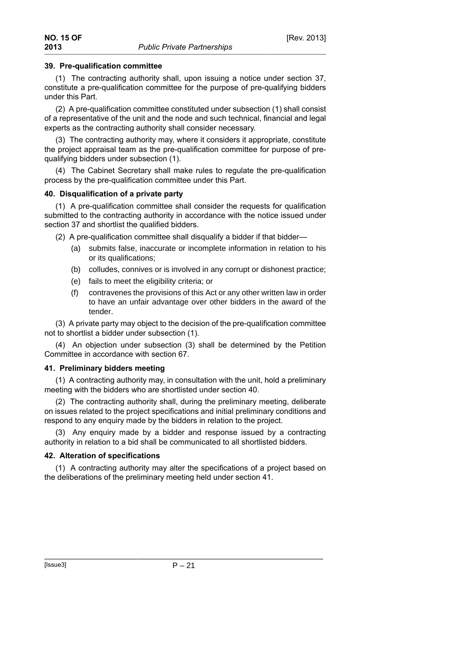#### **39. Pre-qualification committee**

(1) The contracting authority shall, upon issuing a notice under section 37, constitute a pre-qualification committee for the purpose of pre-qualifying bidders under this Part.

(2) A pre-qualification committee constituted under subsection (1) shall consist of a representative of the unit and the node and such technical, financial and legal experts as the contracting authority shall consider necessary.

(3) The contracting authority may, where it considers it appropriate, constitute the project appraisal team as the pre-qualification committee for purpose of prequalifying bidders under subsection (1).

(4) The Cabinet Secretary shall make rules to regulate the pre-qualification process by the pre-qualification committee under this Part.

# **40. Disqualification of a private party**

(1) A pre-qualification committee shall consider the requests for qualification submitted to the contracting authority in accordance with the notice issued under section 37 and shortlist the qualified bidders.

(2) A pre-qualification committee shall disqualify a bidder if that bidder—

- (a) submits false, inaccurate or incomplete information in relation to his or its qualifications;
- (b) colludes, connives or is involved in any corrupt or dishonest practice;
- (e) fails to meet the eligibility criteria; or
- (f) contravenes the provisions of this Act or any other written law in order to have an unfair advantage over other bidders in the award of the tender.

(3) A private party may object to the decision of the pre-qualification committee not to shortlist a bidder under subsection (1).

(4) An objection under subsection (3) shall be determined by the Petition Committee in accordance with section 67.

#### **41. Preliminary bidders meeting**

(1) A contracting authority may, in consultation with the unit, hold a preliminary meeting with the bidders who are shortlisted under section 40.

(2) The contracting authority shall, during the preliminary meeting, deliberate on issues related to the project specifications and initial preliminary conditions and respond to any enquiry made by the bidders in relation to the project.

(3) Any enquiry made by a bidder and response issued by a contracting authority in relation to a bid shall be communicated to all shortlisted bidders.

# **42. Alteration of specifications**

(1) A contracting authority may alter the specifications of a project based on the deliberations of the preliminary meeting held under section 41.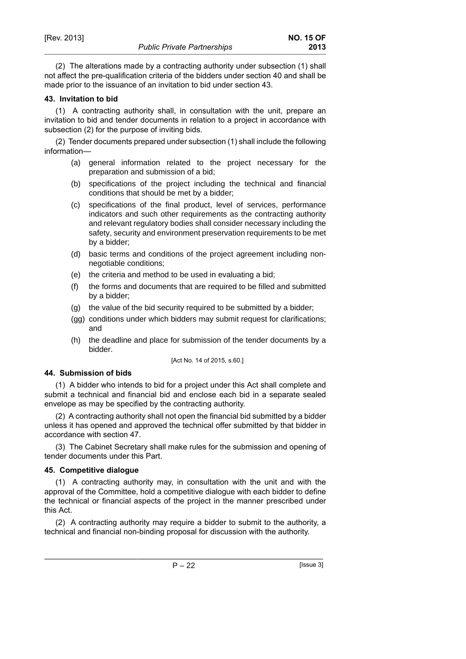(2) The alterations made by a contracting authority under subsection (1) shall not affect the pre-qualification criteria of the bidders under section 40 and shall be made prior to the issuance of an invitation to bid under section 43.

# **43. Invitation to bid**

(1) A contracting authority shall, in consultation with the unit, prepare an invitation to bid and tender documents in relation to a project in accordance with subsection (2) for the purpose of inviting bids.

(2) Tender documents prepared under subsection (1) shall include the following information—

- (a) general information related to the project necessary for the preparation and submission of a bid;
- (b) specifications of the project including the technical and financial conditions that should be met by a bidder;
- (c) specifications of the final product, level of services, performance indicators and such other requirements as the contracting authority and relevant regulatory bodies shall consider necessary including the safety, security and environment preservation requirements to be met by a bidder;
- (d) basic terms and conditions of the project agreement including nonnegotiable conditions;
- (e) the criteria and method to be used in evaluating a bid;
- (f) the forms and documents that are required to be filled and submitted by a bidder;
- (g) the value of the bid security required to be submitted by a bidder;
- (gg) conditions under which bidders may submit request for clarifications; and
- (h) the deadline and place for submission of the tender documents by a bidder.

#### [Act No. 14 of 2015, s.60.]

# **44. Submission of bids**

(1) A bidder who intends to bid for a project under this Act shall complete and submit a technical and financial bid and enclose each bid in a separate sealed envelope as may be specified by the contracting authority.

(2) A contracting authority shall not open the financial bid submitted by a bidder unless it has opened and approved the technical offer submitted by that bidder in accordance with section 47.

(3) The Cabinet Secretary shall make rules for the submission and opening of tender documents under this Part.

# **45. Competitive dialogue**

(1) A contracting authority may, in consultation with the unit and with the approval of the Committee, hold a competitive dialogue with each bidder to define the technical or financial aspects of the project in the manner prescribed under this Act.

(2) A contracting authority may require a bidder to submit to the authority, a technical and financial non-binding proposal for discussion with the authority.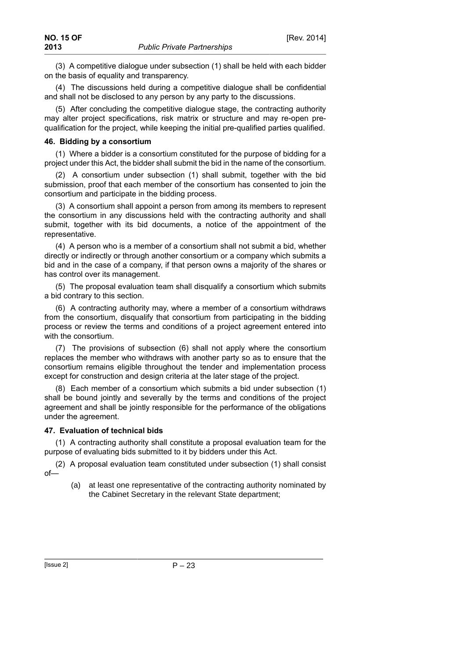(3) A competitive dialogue under subsection (1) shall be held with each bidder on the basis of equality and transparency.

(4) The discussions held during a competitive dialogue shall be confidential and shall not be disclosed to any person by any party to the discussions.

(5) After concluding the competitive dialogue stage, the contracting authority may alter project specifications, risk matrix or structure and may re-open prequalification for the project, while keeping the initial pre-qualified parties qualified.

#### **46. Bidding by a consortium**

(1) Where a bidder is a consortium constituted for the purpose of bidding for a project under this Act, the bidder shall submit the bid in the name of the consortium.

(2) A consortium under subsection (1) shall submit, together with the bid submission, proof that each member of the consortium has consented to join the consortium and participate in the bidding process.

(3) A consortium shall appoint a person from among its members to represent the consortium in any discussions held with the contracting authority and shall submit, together with its bid documents, a notice of the appointment of the representative.

(4) A person who is a member of a consortium shall not submit a bid, whether directly or indirectly or through another consortium or a company which submits a bid and in the case of a company, if that person owns a majority of the shares or has control over its management.

(5) The proposal evaluation team shall disqualify a consortium which submits a bid contrary to this section.

(6) A contracting authority may, where a member of a consortium withdraws from the consortium, disqualify that consortium from participating in the bidding process or review the terms and conditions of a project agreement entered into with the consortium.

(7) The provisions of subsection (6) shall not apply where the consortium replaces the member who withdraws with another party so as to ensure that the consortium remains eligible throughout the tender and implementation process except for construction and design criteria at the later stage of the project.

(8) Each member of a consortium which submits a bid under subsection (1) shall be bound jointly and severally by the terms and conditions of the project agreement and shall be jointly responsible for the performance of the obligations under the agreement.

#### **47. Evaluation of technical bids**

(1) A contracting authority shall constitute a proposal evaluation team for the purpose of evaluating bids submitted to it by bidders under this Act.

(2) A proposal evaluation team constituted under subsection (1) shall consist of—

(a) at least one representative of the contracting authority nominated by the Cabinet Secretary in the relevant State department;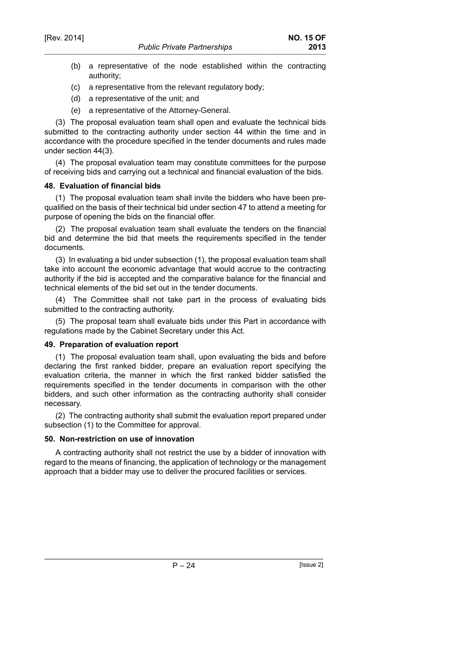- (b) a representative of the node established within the contracting authority;
- (c) a representative from the relevant regulatory body;
- (d) a representative of the unit; and
- (e) a representative of the Attorney-General.

(3) The proposal evaluation team shall open and evaluate the technical bids submitted to the contracting authority under section 44 within the time and in accordance with the procedure specified in the tender documents and rules made under section 44(3).

(4) The proposal evaluation team may constitute committees for the purpose of receiving bids and carrying out a technical and financial evaluation of the bids.

# **48. Evaluation of financial bids**

(1) The proposal evaluation team shall invite the bidders who have been prequalified on the basis of their technical bid under section 47 to attend a meeting for purpose of opening the bids on the financial offer.

(2) The proposal evaluation team shall evaluate the tenders on the financial bid and determine the bid that meets the requirements specified in the tender documents.

(3) In evaluating a bid under subsection (1), the proposal evaluation team shall take into account the economic advantage that would accrue to the contracting authority if the bid is accepted and the comparative balance for the financial and technical elements of the bid set out in the tender documents.

(4) The Committee shall not take part in the process of evaluating bids submitted to the contracting authority.

(5) The proposal team shall evaluate bids under this Part in accordance with regulations made by the Cabinet Secretary under this Act.

# **49. Preparation of evaluation report**

(1) The proposal evaluation team shall, upon evaluating the bids and before declaring the first ranked bidder, prepare an evaluation report specifying the evaluation criteria, the manner in which the first ranked bidder satisfied the requirements specified in the tender documents in comparison with the other bidders, and such other information as the contracting authority shall consider necessary.

(2) The contracting authority shall submit the evaluation report prepared under subsection (1) to the Committee for approval.

# **50. Non-restriction on use of innovation**

A contracting authority shall not restrict the use by a bidder of innovation with regard to the means of financing, the application of technology or the management approach that a bidder may use to deliver the procured facilities or services.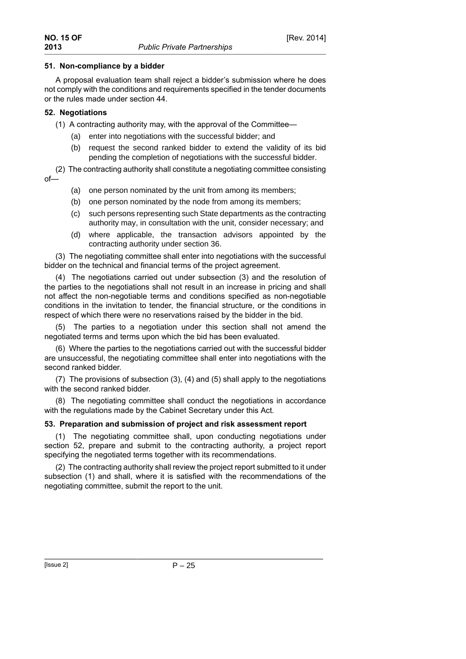#### **51. Non-compliance by a bidder**

A proposal evaluation team shall reject a bidder's submission where he does not comply with the conditions and requirements specified in the tender documents or the rules made under section 44.

### **52. Negotiations**

(1) A contracting authority may, with the approval of the Committee—

- (a) enter into negotiations with the successful bidder; and
- (b) request the second ranked bidder to extend the validity of its bid pending the completion of negotiations with the successful bidder.
- (2) The contracting authority shall constitute a negotiating committee consisting of—
	- (a) one person nominated by the unit from among its members;
	- (b) one person nominated by the node from among its members;
	- (c) such persons representing such State departments as the contracting authority may, in consultation with the unit, consider necessary; and
	- (d) where applicable, the transaction advisors appointed by the contracting authority under section 36.

(3) The negotiating committee shall enter into negotiations with the successful bidder on the technical and financial terms of the project agreement.

(4) The negotiations carried out under subsection (3) and the resolution of the parties to the negotiations shall not result in an increase in pricing and shall not affect the non-negotiable terms and conditions specified as non-negotiable conditions in the invitation to tender, the financial structure, or the conditions in respect of which there were no reservations raised by the bidder in the bid.

(5) The parties to a negotiation under this section shall not amend the negotiated terms and terms upon which the bid has been evaluated.

(6) Where the parties to the negotiations carried out with the successful bidder are unsuccessful, the negotiating committee shall enter into negotiations with the second ranked bidder.

(7) The provisions of subsection (3), (4) and (5) shall apply to the negotiations with the second ranked bidder.

(8) The negotiating committee shall conduct the negotiations in accordance with the regulations made by the Cabinet Secretary under this Act.

#### **53. Preparation and submission of project and risk assessment report**

(1) The negotiating committee shall, upon conducting negotiations under section 52, prepare and submit to the contracting authority, a project report specifying the negotiated terms together with its recommendations.

(2) The contracting authority shall review the project report submitted to it under subsection (1) and shall, where it is satisfied with the recommendations of the negotiating committee, submit the report to the unit.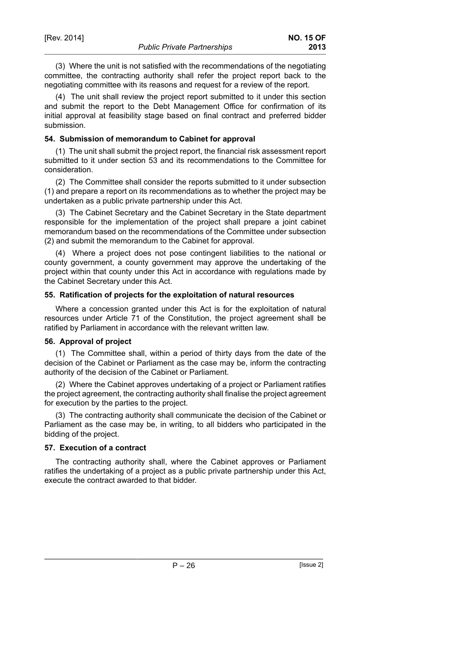**2013**

(3) Where the unit is not satisfied with the recommendations of the negotiating committee, the contracting authority shall refer the project report back to the negotiating committee with its reasons and request for a review of the report.

(4) The unit shall review the project report submitted to it under this section and submit the report to the Debt Management Office for confirmation of its initial approval at feasibility stage based on final contract and preferred bidder submission.

#### **54. Submission of memorandum to Cabinet for approval**

(1) The unit shall submit the project report, the financial risk assessment report submitted to it under section 53 and its recommendations to the Committee for consideration.

(2) The Committee shall consider the reports submitted to it under subsection (1) and prepare a report on its recommendations as to whether the project may be undertaken as a public private partnership under this Act.

(3) The Cabinet Secretary and the Cabinet Secretary in the State department responsible for the implementation of the project shall prepare a joint cabinet memorandum based on the recommendations of the Committee under subsection (2) and submit the memorandum to the Cabinet for approval.

(4) Where a project does not pose contingent liabilities to the national or county government, a county government may approve the undertaking of the project within that county under this Act in accordance with regulations made by the Cabinet Secretary under this Act.

# **55. Ratification of projects for the exploitation of natural resources**

Where a concession granted under this Act is for the exploitation of natural resources under Article 71 of the Constitution, the project agreement shall be ratified by Parliament in accordance with the relevant written law.

# **56. Approval of project**

(1) The Committee shall, within a period of thirty days from the date of the decision of the Cabinet or Parliament as the case may be, inform the contracting authority of the decision of the Cabinet or Parliament.

(2) Where the Cabinet approves undertaking of a project or Parliament ratifies the project agreement, the contracting authority shall finalise the project agreement for execution by the parties to the project.

(3) The contracting authority shall communicate the decision of the Cabinet or Parliament as the case may be, in writing, to all bidders who participated in the bidding of the project.

# **57. Execution of a contract**

The contracting authority shall, where the Cabinet approves or Parliament ratifies the undertaking of a project as a public private partnership under this Act, execute the contract awarded to that bidder.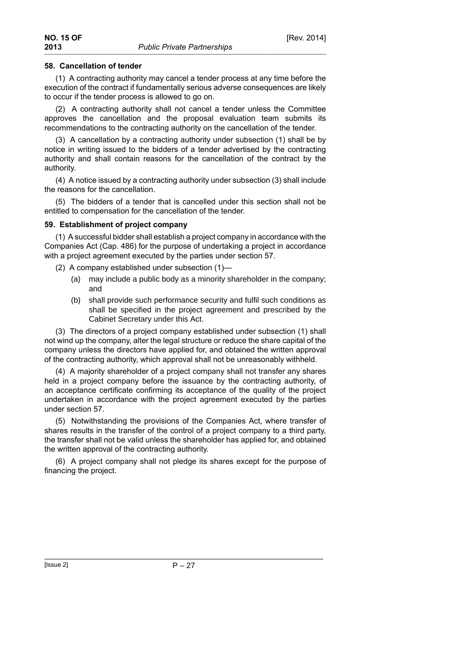#### **58. Cancellation of tender**

(1) A contracting authority may cancel a tender process at any time before the execution of the contract if fundamentally serious adverse consequences are likely to occur if the tender process is allowed to go on.

(2) A contracting authority shall not cancel a tender unless the Committee approves the cancellation and the proposal evaluation team submits its recommendations to the contracting authority on the cancellation of the tender.

(3) A cancellation by a contracting authority under subsection (1) shall be by notice in writing issued to the bidders of a tender advertised by the contracting authority and shall contain reasons for the cancellation of the contract by the authority.

(4) A notice issued by a contracting authority under subsection (3) shall include the reasons for the cancellation.

(5) The bidders of a tender that is cancelled under this section shall not be entitled to compensation for the cancellation of the tender.

#### **59. Establishment of project company**

(1) A successful bidder shall establish a project company in accordance with the Companies Act (Cap. 486) for the purpose of undertaking a project in accordance with a project agreement executed by the parties under section 57.

- (2) A company established under subsection (1)—
	- (a) may include a public body as a minority shareholder in the company; and
	- (b) shall provide such performance security and fulfil such conditions as shall be specified in the project agreement and prescribed by the Cabinet Secretary under this Act.

(3) The directors of a project company established under subsection (1) shall not wind up the company, alter the legal structure or reduce the share capital of the company unless the directors have applied for, and obtained the written approval of the contracting authority, which approval shall not be unreasonably withheld.

(4) A majority shareholder of a project company shall not transfer any shares held in a project company before the issuance by the contracting authority, of an acceptance certificate confirming its acceptance of the quality of the project undertaken in accordance with the project agreement executed by the parties under section 57.

(5) Notwithstanding the provisions of the Companies Act, where transfer of shares results in the transfer of the control of a project company to a third party, the transfer shall not be valid unless the shareholder has applied for, and obtained the written approval of the contracting authority.

(6) A project company shall not pledge its shares except for the purpose of financing the project.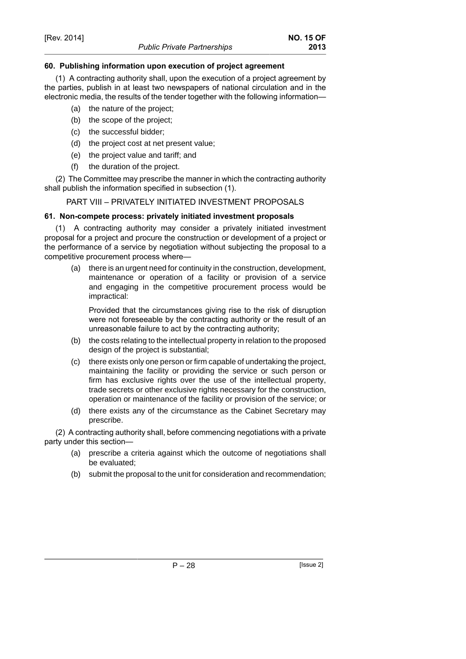# **60. Publishing information upon execution of project agreement**

(1) A contracting authority shall, upon the execution of a project agreement by the parties, publish in at least two newspapers of national circulation and in the electronic media, the results of the tender together with the following information—

- (a) the nature of the project;
- (b) the scope of the project;
- (c) the successful bidder;
- (d) the project cost at net present value;
- (e) the project value and tariff; and
- (f) the duration of the project.

(2) The Committee may prescribe the manner in which the contracting authority shall publish the information specified in subsection (1).

# PART VIII – PRIVATELY INITIATED INVESTMENT PROPOSALS

# **61. Non-compete process: privately initiated investment proposals**

(1) A contracting authority may consider a privately initiated investment proposal for a project and procure the construction or development of a project or the performance of a service by negotiation without subjecting the proposal to a competitive procurement process where—

(a) there is an urgent need for continuity in the construction, development, maintenance or operation of a facility or provision of a service and engaging in the competitive procurement process would be impractical:

Provided that the circumstances giving rise to the risk of disruption were not foreseeable by the contracting authority or the result of an unreasonable failure to act by the contracting authority;

- (b) the costs relating to the intellectual property in relation to the proposed design of the project is substantial;
- (c) there exists only one person or firm capable of undertaking the project, maintaining the facility or providing the service or such person or firm has exclusive rights over the use of the intellectual property, trade secrets or other exclusive rights necessary for the construction, operation or maintenance of the facility or provision of the service; or
- (d) there exists any of the circumstance as the Cabinet Secretary may prescribe.

(2) A contracting authority shall, before commencing negotiations with a private party under this section—

- (a) prescribe a criteria against which the outcome of negotiations shall be evaluated;
- (b) submit the proposal to the unit for consideration and recommendation;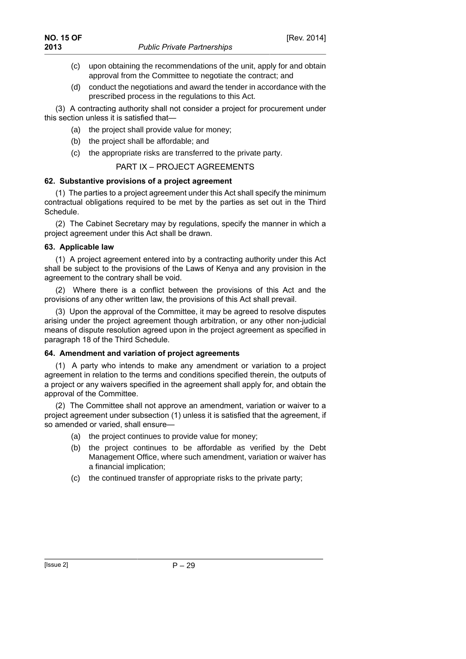- (c) upon obtaining the recommendations of the unit, apply for and obtain approval from the Committee to negotiate the contract; and
- (d) conduct the negotiations and award the tender in accordance with the prescribed process in the regulations to this Act.

(3) A contracting authority shall not consider a project for procurement under this section unless it is satisfied that—

- (a) the project shall provide value for money;
- (b) the project shall be affordable; and
- (c) the appropriate risks are transferred to the private party.

# PART IX – PROJECT AGREEMENTS

# **62. Substantive provisions of a project agreement**

(1) The parties to a project agreement under this Act shall specify the minimum contractual obligations required to be met by the parties as set out in the Third Schedule.

(2) The Cabinet Secretary may by regulations, specify the manner in which a project agreement under this Act shall be drawn.

# **63. Applicable law**

(1) A project agreement entered into by a contracting authority under this Act shall be subject to the provisions of the Laws of Kenya and any provision in the agreement to the contrary shall be void.

(2) Where there is a conflict between the provisions of this Act and the provisions of any other written law, the provisions of this Act shall prevail.

(3) Upon the approval of the Committee, it may be agreed to resolve disputes arising under the project agreement though arbitration, or any other non-judicial means of dispute resolution agreed upon in the project agreement as specified in paragraph 18 of the Third Schedule.

# **64. Amendment and variation of project agreements**

(1) A party who intends to make any amendment or variation to a project agreement in relation to the terms and conditions specified therein, the outputs of a project or any waivers specified in the agreement shall apply for, and obtain the approval of the Committee.

(2) The Committee shall not approve an amendment, variation or waiver to a project agreement under subsection (1) unless it is satisfied that the agreement, if so amended or varied, shall ensure—

- (a) the project continues to provide value for money;
- (b) the project continues to be affordable as verified by the Debt Management Office, where such amendment, variation or waiver has a financial implication;
- (c) the continued transfer of appropriate risks to the private party;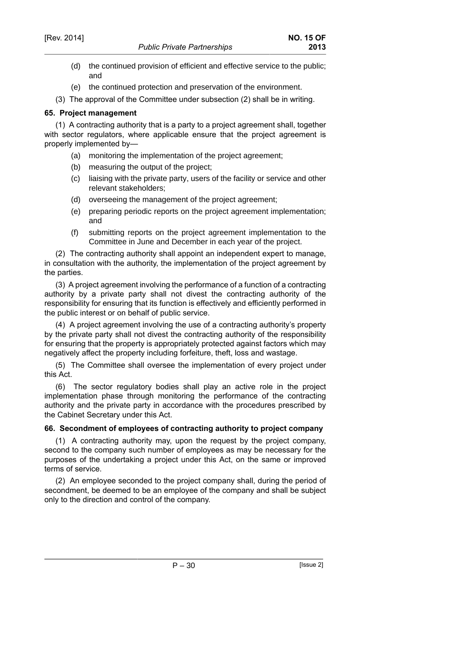- (d) the continued provision of efficient and effective service to the public; and
- (e) the continued protection and preservation of the environment.
- (3) The approval of the Committee under subsection (2) shall be in writing.

# **65. Project management**

(1) A contracting authority that is a party to a project agreement shall, together with sector regulators, where applicable ensure that the project agreement is properly implemented by—

- (a) monitoring the implementation of the project agreement;
- (b) measuring the output of the project;
- (c) liaising with the private party, users of the facility or service and other relevant stakeholders;
- (d) overseeing the management of the project agreement;
- (e) preparing periodic reports on the project agreement implementation; and
- (f) submitting reports on the project agreement implementation to the Committee in June and December in each year of the project.

(2) The contracting authority shall appoint an independent expert to manage, in consultation with the authority, the implementation of the project agreement by the parties.

(3) A project agreement involving the performance of a function of a contracting authority by a private party shall not divest the contracting authority of the responsibility for ensuring that its function is effectively and efficiently performed in the public interest or on behalf of public service.

(4) A project agreement involving the use of a contracting authority's property by the private party shall not divest the contracting authority of the responsibility for ensuring that the property is appropriately protected against factors which may negatively affect the property including forfeiture, theft, loss and wastage.

(5) The Committee shall oversee the implementation of every project under this Act.

(6) The sector regulatory bodies shall play an active role in the project implementation phase through monitoring the performance of the contracting authority and the private party in accordance with the procedures prescribed by the Cabinet Secretary under this Act.

# **66. Secondment of employees of contracting authority to project company**

(1) A contracting authority may, upon the request by the project company, second to the company such number of employees as may be necessary for the purposes of the undertaking a project under this Act, on the same or improved terms of service.

(2) An employee seconded to the project company shall, during the period of secondment, be deemed to be an employee of the company and shall be subject only to the direction and control of the company.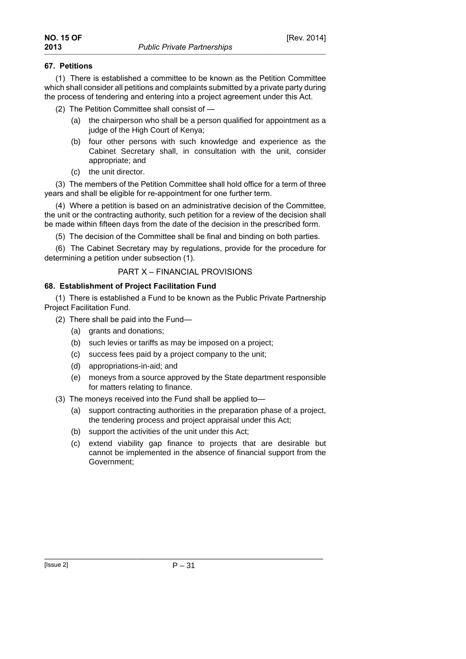[Rev. 2014]

# **67. Petitions**

(1) There is established a committee to be known as the Petition Committee which shall consider all petitions and complaints submitted by a private party during the process of tendering and entering into a project agreement under this Act.

- (2) The Petition Committee shall consist of
	- (a) the chairperson who shall be a person qualified for appointment as a judge of the High Court of Kenya;
	- (b) four other persons with such knowledge and experience as the Cabinet Secretary shall, in consultation with the unit, consider appropriate; and
	- (c) the unit director.

(3) The members of the Petition Committee shall hold office for a term of three years and shall be eligible for re-appointment for one further term.

(4) Where a petition is based on an administrative decision of the Committee, the unit or the contracting authority, such petition for a review of the decision shall be made within fifteen days from the date of the decision in the prescribed form.

(5) The decision of the Committee shall be final and binding on both parties.

(6) The Cabinet Secretary may by regulations, provide for the procedure for determining a petition under subsection (1).

# PART X – FINANCIAL PROVISIONS

# **68. Establishment of Project Facilitation Fund**

(1) There is established a Fund to be known as the Public Private Partnership Project Facilitation Fund.

- (2) There shall be paid into the Fund—
	- (a) grants and donations;
	- (b) such levies or tariffs as may be imposed on a project;
	- (c) success fees paid by a project company to the unit;
	- (d) appropriations-in-aid; and
	- (e) moneys from a source approved by the State department responsible for matters relating to finance.
- (3) The moneys received into the Fund shall be applied to—
	- (a) support contracting authorities in the preparation phase of a project, the tendering process and project appraisal under this Act;
	- (b) support the activities of the unit under this Act;
	- (c) extend viability gap finance to projects that are desirable but cannot be implemented in the absence of financial support from the Government;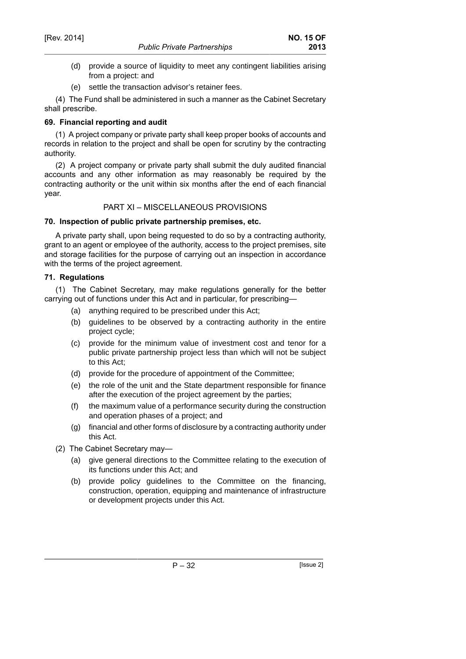- (d) provide a source of liquidity to meet any contingent liabilities arising from a project: and
- (e) settle the transaction advisor's retainer fees.

(4) The Fund shall be administered in such a manner as the Cabinet Secretary shall prescribe.

# **69. Financial reporting and audit**

(1) A project company or private party shall keep proper books of accounts and records in relation to the project and shall be open for scrutiny by the contracting authority.

(2) A project company or private party shall submit the duly audited financial accounts and any other information as may reasonably be required by the contracting authority or the unit within six months after the end of each financial year.

# PART XI – MISCELLANEOUS PROVISIONS

# **70. Inspection of public private partnership premises, etc.**

A private party shall, upon being requested to do so by a contracting authority, grant to an agent or employee of the authority, access to the project premises, site and storage facilities for the purpose of carrying out an inspection in accordance with the terms of the project agreement.

# **71. Regulations**

(1) The Cabinet Secretary, may make regulations generally for the better carrying out of functions under this Act and in particular, for prescribing—

- (a) anything required to be prescribed under this Act;
- (b) guidelines to be observed by a contracting authority in the entire project cycle;
- (c) provide for the minimum value of investment cost and tenor for a public private partnership project less than which will not be subject to this Act;
- (d) provide for the procedure of appointment of the Committee;
- (e) the role of the unit and the State department responsible for finance after the execution of the project agreement by the parties;
- (f) the maximum value of a performance security during the construction and operation phases of a project; and
- (g) financial and other forms of disclosure by a contracting authority under this Act.
- (2) The Cabinet Secretary may—
	- (a) give general directions to the Committee relating to the execution of its functions under this Act; and
	- (b) provide policy guidelines to the Committee on the financing, construction, operation, equipping and maintenance of infrastructure or development projects under this Act.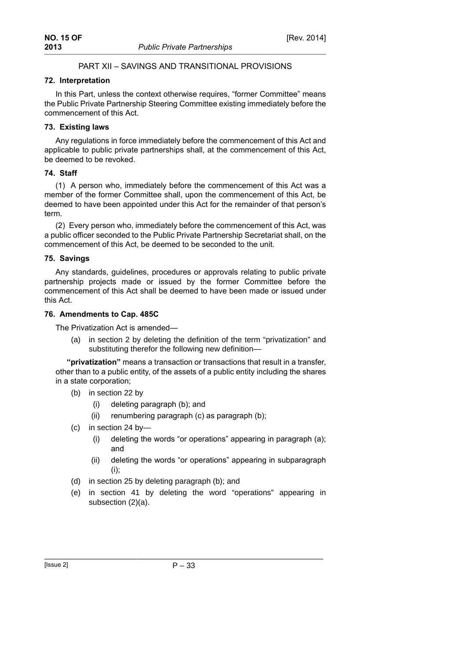# PART XII – SAVINGS AND TRANSITIONAL PROVISIONS

### **72. Interpretation**

In this Part, unless the context otherwise requires, "former Committee" means the Public Private Partnership Steering Committee existing immediately before the commencement of this Act.

# **73. Existing laws**

Any regulations in force immediately before the commencement of this Act and applicable to public private partnerships shall, at the commencement of this Act, be deemed to be revoked.

# **74. Staff**

(1) A person who, immediately before the commencement of this Act was a member of the former Committee shall, upon the commencement of this Act, be deemed to have been appointed under this Act for the remainder of that person's term.

(2) Every person who, immediately before the commencement of this Act, was a public officer seconded to the Public Private Partnership Secretariat shall, on the commencement of this Act, be deemed to be seconded to the unit.

# **75. Savings**

Any standards, guidelines, procedures or approvals relating to public private partnership projects made or issued by the former Committee before the commencement of this Act shall be deemed to have been made or issued under this Act.

# **76. Amendments to Cap. 485C**

The Privatization Act is amended—

(a) in section 2 by deleting the definition of the term "privatization" and substituting therefor the following new definition—

**"privatization"** means a transaction or transactions that result in a transfer, other than to a public entity, of the assets of a public entity including the shares in a state corporation;

- (b) in section 22 by
	- (i) deleting paragraph (b); and
	- (ii) renumbering paragraph (c) as paragraph (b);
- (c) in section 24 by—
	- (i) deleting the words "or operations" appearing in paragraph (a); and
	- (ii) deleting the words "or operations" appearing in subparagraph (i);
- (d) in section 25 by deleting paragraph (b); and
- (e) in section 41 by deleting the word "operations" appearing in subsection (2)(a).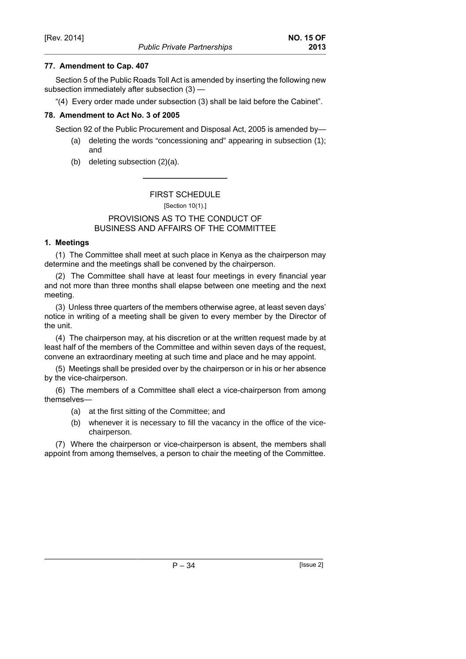# **77. Amendment to Cap. 407**

Section 5 of the Public Roads Toll Act is amended by inserting the following new subsection immediately after subsection (3) —

"(4) Every order made under subsection (3) shall be laid before the Cabinet".

# **78. Amendment to Act No. 3 of 2005**

Section 92 of the Public Procurement and Disposal Act, 2005 is amended by—

- (a) deleting the words "concessioning and" appearing in subsection (1); and
- (b) deleting subsection (2)(a).

# FIRST SCHEDULE [Section 10(1).]

# PROVISIONS AS TO THE CONDUCT OF BUSINESS AND AFFAIRS OF THE COMMITTEE

# **1. Meetings**

(1) The Committee shall meet at such place in Kenya as the chairperson may determine and the meetings shall be convened by the chairperson.

(2) The Committee shall have at least four meetings in every financial year and not more than three months shall elapse between one meeting and the next meeting.

(3) Unless three quarters of the members otherwise agree, at least seven days' notice in writing of a meeting shall be given to every member by the Director of the unit.

(4) The chairperson may, at his discretion or at the written request made by at least half of the members of the Committee and within seven days of the request, convene an extraordinary meeting at such time and place and he may appoint.

(5) Meetings shall be presided over by the chairperson or in his or her absence by the vice-chairperson.

(6) The members of a Committee shall elect a vice-chairperson from among themselves—

- (a) at the first sitting of the Committee; and
- (b) whenever it is necessary to fill the vacancy in the office of the vicechairperson.

(7) Where the chairperson or vice-chairperson is absent, the members shall appoint from among themselves, a person to chair the meeting of the Committee.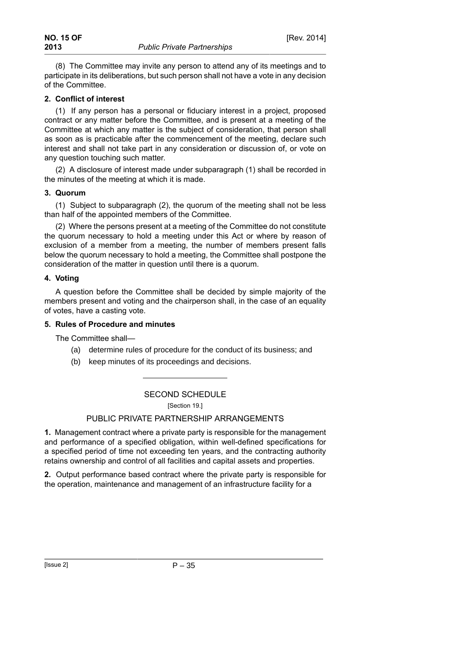(8) The Committee may invite any person to attend any of its meetings and to participate in its deliberations, but such person shall not have a vote in any decision of the Committee.

### **2. Conflict of interest**

(1) If any person has a personal or fiduciary interest in a project, proposed contract or any matter before the Committee, and is present at a meeting of the Committee at which any matter is the subject of consideration, that person shall as soon as is practicable after the commencement of the meeting, declare such interest and shall not take part in any consideration or discussion of, or vote on any question touching such matter.

(2) A disclosure of interest made under subparagraph (1) shall be recorded in the minutes of the meeting at which it is made.

#### **3. Quorum**

(1) Subject to subparagraph (2), the quorum of the meeting shall not be less than half of the appointed members of the Committee.

(2) Where the persons present at a meeting of the Committee do not constitute the quorum necessary to hold a meeting under this Act or where by reason of exclusion of a member from a meeting, the number of members present falls below the quorum necessary to hold a meeting, the Committee shall postpone the consideration of the matter in question until there is a quorum.

### **4. Voting**

A question before the Committee shall be decided by simple majority of the members present and voting and the chairperson shall, in the case of an equality of votes, have a casting vote.

### **5. Rules of Procedure and minutes**

The Committee shall—

- (a) determine rules of procedure for the conduct of its business; and
- (b) keep minutes of its proceedings and decisions.

# SECOND SCHEDULE

[Section 19.]

# PUBLIC PRIVATE PARTNERSHIP ARRANGEMENTS

**1.** Management contract where a private party is responsible for the management and performance of a specified obligation, within well-defined specifications for a specified period of time not exceeding ten years, and the contracting authority retains ownership and control of all facilities and capital assets and properties.

**2.** Output performance based contract where the private party is responsible for the operation, maintenance and management of an infrastructure facility for a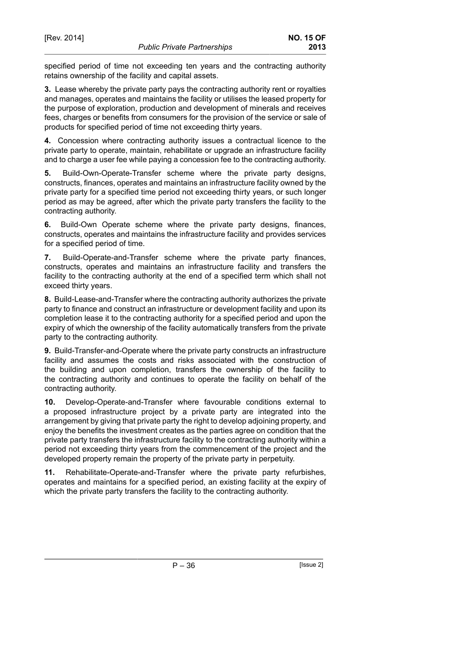specified period of time not exceeding ten years and the contracting authority retains ownership of the facility and capital assets.

**3.** Lease whereby the private party pays the contracting authority rent or royalties and manages, operates and maintains the facility or utilises the leased property for the purpose of exploration, production and development of minerals and receives fees, charges or benefits from consumers for the provision of the service or sale of products for specified period of time not exceeding thirty years.

**4.** Concession where contracting authority issues a contractual licence to the private party to operate, maintain, rehabilitate or upgrade an infrastructure facility and to charge a user fee while paying a concession fee to the contracting authority.

**5.** Build-Own-Operate-Transfer scheme where the private party designs, constructs, finances, operates and maintains an infrastructure facility owned by the private party for a specified time period not exceeding thirty years, or such longer period as may be agreed, after which the private party transfers the facility to the contracting authority.

**6.** Build-Own Operate scheme where the private party designs, finances, constructs, operates and maintains the infrastructure facility and provides services for a specified period of time.

**7.** Build-Operate-and-Transfer scheme where the private party finances, constructs, operates and maintains an infrastructure facility and transfers the facility to the contracting authority at the end of a specified term which shall not exceed thirty years.

**8.** Build-Lease-and-Transfer where the contracting authority authorizes the private party to finance and construct an infrastructure or development facility and upon its completion lease it to the contracting authority for a specified period and upon the expiry of which the ownership of the facility automatically transfers from the private party to the contracting authority.

**9.** Build-Transfer-and-Operate where the private party constructs an infrastructure facility and assumes the costs and risks associated with the construction of the building and upon completion, transfers the ownership of the facility to the contracting authority and continues to operate the facility on behalf of the contracting authority.

**10.** Develop-Operate-and-Transfer where favourable conditions external to a proposed infrastructure project by a private party are integrated into the arrangement by giving that private party the right to develop adjoining property, and enjoy the benefits the investment creates as the parties agree on condition that the private party transfers the infrastructure facility to the contracting authority within a period not exceeding thirty years from the commencement of the project and the developed property remain the property of the private party in perpetuity.

**11.** Rehabilitate-Operate-and-Transfer where the private party refurbishes, operates and maintains for a specified period, an existing facility at the expiry of which the private party transfers the facility to the contracting authority.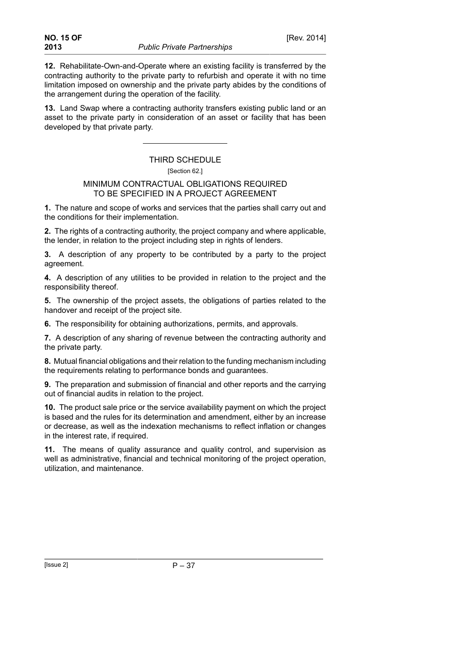**12.** Rehabilitate-Own-and-Operate where an existing facility is transferred by the contracting authority to the private party to refurbish and operate it with no time limitation imposed on ownership and the private party abides by the conditions of the arrangement during the operation of the facility.

**13.** Land Swap where a contracting authority transfers existing public land or an asset to the private party in consideration of an asset or facility that has been developed by that private party.

# THIRD SCHEDULE

#### [Section 62.]

#### MINIMUM CONTRACTUAL OBLIGATIONS REQUIRED TO BE SPECIFIED IN A PROJECT AGREEMENT

**1.** The nature and scope of works and services that the parties shall carry out and the conditions for their implementation.

**2.** The rights of a contracting authority, the project company and where applicable, the lender, in relation to the project including step in rights of lenders.

**3.** A description of any property to be contributed by a party to the project agreement.

**4.** A description of any utilities to be provided in relation to the project and the responsibility thereof.

**5.** The ownership of the project assets, the obligations of parties related to the handover and receipt of the project site.

**6.** The responsibility for obtaining authorizations, permits, and approvals.

**7.** A description of any sharing of revenue between the contracting authority and the private party.

**8.** Mutual financial obligations and their relation to the funding mechanism including the requirements relating to performance bonds and guarantees.

**9.** The preparation and submission of financial and other reports and the carrying out of financial audits in relation to the project.

**10.** The product sale price or the service availability payment on which the project is based and the rules for its determination and amendment, either by an increase or decrease, as well as the indexation mechanisms to reflect inflation or changes in the interest rate, if required.

**11.** The means of quality assurance and quality control, and supervision as well as administrative, financial and technical monitoring of the project operation, utilization, and maintenance.